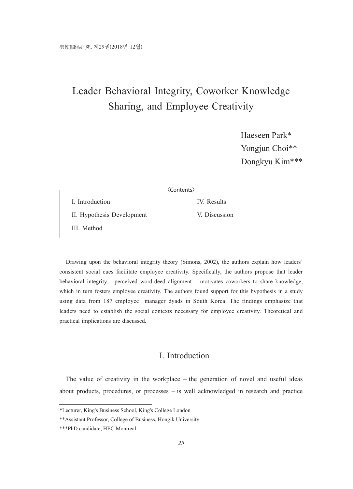# Leader Behavioral Integrity, Coworker Knowledge Sharing, and Employee Creativity

Haeseen Park\* Yongjun Choi\*\* Dongkyu Kim\*\*\*

|                            | <b><i><u>{Contents}</u></i></b> |
|----------------------------|---------------------------------|
| I. Introduction            | IV. Results                     |
| II. Hypothesis Development | V. Discussion                   |
| III. Method                |                                 |

Drawing upon the behavioral integrity theory (Simons, 2002), the authors explain how leaders' consistent social cues facilitate employee creativity. Specifically, the authors propose that leader behavioral integrity – perceived word-deed alignment – motivates coworkers to share knowledge, which in turn fosters employee creativity. The authors found support for this hypothesis in a study using data from 187 employee–manager dyads in South Korea. The findings emphasize that leaders need to establish the social contexts necessary for employee creativity. Theoretical and practical implications are discussed.

## I. Introduction

The value of creativity in the workplace – the generation of novel and useful ideas about products, procedures, or processes – is well acknowledged in research and practice

<sup>\*</sup>Lecturer, King's Business School, King's College London

<sup>\*\*</sup>Assistant Professor, College of Business, Hongik University

<sup>\*\*\*</sup>PhD candidate, HEC Montreal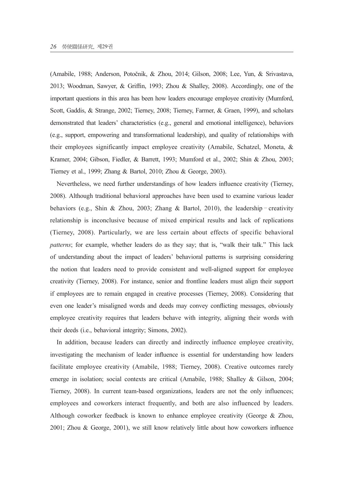(Amabile, 1988; Anderson, Potočnik, & Zhou, 2014; Gilson, 2008; Lee, Yun, & Srivastava, 2013; Woodman, Sawyer, & Griffin, 1993; Zhou & Shalley, 2008). Accordingly, one of the important questions in this area has been how leaders encourage employee creativity (Mumford, Scott, Gaddis, & Strange, 2002; Tierney, 2008; Tierney, Farmer, & Graen, 1999), and scholars demonstrated that leaders' characteristics (e.g., general and emotional intelligence), behaviors (e.g., support, empowering and transformational leadership), and quality of relationships with their employees significantly impact employee creativity (Amabile, Schatzel, Moneta, & Kramer, 2004; Gibson, Fiedler, & Barrett, 1993; Mumford et al., 2002; Shin & Zhou, 2003; Tierney et al., 1999; Zhang & Bartol, 2010; Zhou & George, 2003).

Nevertheless, we need further understandings of how leaders influence creativity (Tierney, 2008). Although traditional behavioral approaches have been used to examine various leader behaviors (e.g., Shin & Zhou, 2003; Zhang & Bartol, 2010), the leadership–creativity relationship is inconclusive because of mixed empirical results and lack of replications (Tierney, 2008). Particularly, we are less certain about effects of specific behavioral *patterns*; for example, whether leaders do as they say; that is, "walk their talk." This lack of understanding about the impact of leaders' behavioral patterns is surprising considering the notion that leaders need to provide consistent and well-aligned support for employee creativity (Tierney, 2008). For instance, senior and frontline leaders must align their support if employees are to remain engaged in creative processes (Tierney, 2008). Considering that even one leader's misaligned words and deeds may convey conflicting messages, obviously employee creativity requires that leaders behave with integrity, aligning their words with their deeds (i.e., behavioral integrity; Simons, 2002).

In addition, because leaders can directly and indirectly influence employee creativity, investigating the mechanism of leader influence is essential for understanding how leaders facilitate employee creativity (Amabile, 1988; Tierney, 2008). Creative outcomes rarely emerge in isolation; social contexts are critical (Amabile, 1988; Shalley & Gilson, 2004; Tierney, 2008). In current team-based organizations, leaders are not the only influences; employees and coworkers interact frequently, and both are also influenced by leaders. Although coworker feedback is known to enhance employee creativity (George & Zhou, 2001; Zhou & George, 2001), we still know relatively little about how coworkers influence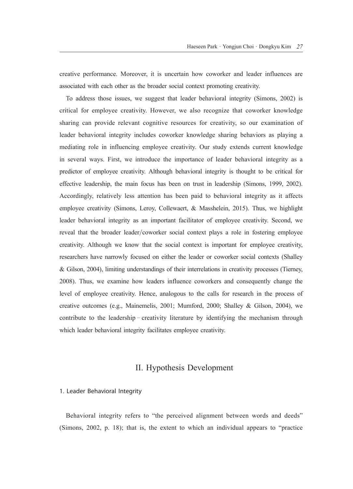creative performance. Moreover, it is uncertain how coworker and leader influences are associated with each other as the broader social context promoting creativity.

To address those issues, we suggest that leader behavioral integrity (Simons, 2002) is critical for employee creativity. However, we also recognize that coworker knowledge sharing can provide relevant cognitive resources for creativity, so our examination of leader behavioral integrity includes coworker knowledge sharing behaviors as playing a mediating role in influencing employee creativity. Our study extends current knowledge in several ways. First, we introduce the importance of leader behavioral integrity as a predictor of employee creativity. Although behavioral integrity is thought to be critical for effective leadership, the main focus has been on trust in leadership (Simons, 1999, 2002). Accordingly, relatively less attention has been paid to behavioral integrity as it affects employee creativity (Simons, Leroy, Collewaert, & Masshelein, 2015). Thus, we highlight leader behavioral integrity as an important facilitator of employee creativity. Second, we reveal that the broader leader/coworker social context plays a role in fostering employee creativity. Although we know that the social context is important for employee creativity, researchers have narrowly focused on either the leader or coworker social contexts (Shalley & Gilson, 2004), limiting understandings of their interrelations in creativity processes (Tierney, 2008). Thus, we examine how leaders influence coworkers and consequently change the level of employee creativity. Hence, analogous to the calls for research in the process of creative outcomes (e.g., Mainemelis, 2001; Mumford, 2000; Shalley & Gilson, 2004), we contribute to the leadership–creativity literature by identifying the mechanism through which leader behavioral integrity facilitates employee creativity.

## II. Hypothesis Development

#### 1. Leader Behavioral Integrity

Behavioral integrity refers to "the perceived alignment between words and deeds" (Simons, 2002, p. 18); that is, the extent to which an individual appears to "practice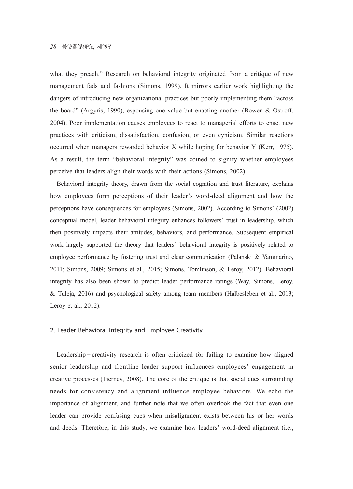what they preach." Research on behavioral integrity originated from a critique of new management fads and fashions (Simons, 1999). It mirrors earlier work highlighting the dangers of introducing new organizational practices but poorly implementing them "across the board" (Argyris, 1990), espousing one value but enacting another (Bowen & Ostroff, 2004). Poor implementation causes employees to react to managerial efforts to enact new practices with criticism, dissatisfaction, confusion, or even cynicism. Similar reactions occurred when managers rewarded behavior X while hoping for behavior Y (Kerr, 1975). As a result, the term "behavioral integrity" was coined to signify whether employees perceive that leaders align their words with their actions (Simons, 2002).

Behavioral integrity theory, drawn from the social cognition and trust literature, explains how employees form perceptions of their leader's word-deed alignment and how the perceptions have consequences for employees (Simons, 2002). According to Simons' (2002) conceptual model, leader behavioral integrity enhances followers' trust in leadership, which then positively impacts their attitudes, behaviors, and performance. Subsequent empirical work largely supported the theory that leaders' behavioral integrity is positively related to employee performance by fostering trust and clear communication (Palanski & Yammarino, 2011; Simons, 2009; Simons et al., 2015; Simons, Tomlinson, & Leroy, 2012). Behavioral integrity has also been shown to predict leader performance ratings (Way, Simons, Leroy, & Tuleja, 2016) and psychological safety among team members (Halbesleben et al., 2013; Leroy et al., 2012).

#### 2. Leader Behavioral Integrity and Employee Creativity

Leadership–creativity research is often criticized for failing to examine how aligned senior leadership and frontline leader support influences employees' engagement in creative processes (Tierney, 2008). The core of the critique is that social cues surrounding needs for consistency and alignment influence employee behaviors. We echo the importance of alignment, and further note that we often overlook the fact that even one leader can provide confusing cues when misalignment exists between his or her words and deeds. Therefore, in this study, we examine how leaders' word-deed alignment (i.e.,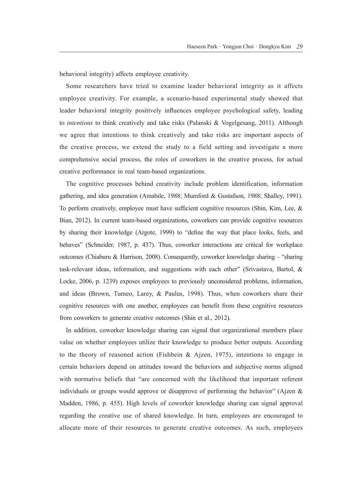behavioral integrity) affects employee creativity.

Some researchers have tried to examine leader behavioral integrity as it affects employee creativity. For example, a scenario-based experimental study showed that leader behavioral integrity positively influences employee psychological safety, leading to *intentions* to think creatively and take risks (Palanski & Vogelgesang, 2011). Although we agree that intentions to think creatively and take risks are important aspects of the creative process, we extend the study to a field setting and investigate a more comprehensive social process, the roles of coworkers in the creative process, for actual creative performance in real team-based organizations.

The cognitive processes behind creativity include problem identification, information gathering, and idea generation (Amabile, 1988; Mumford & Gustafson, 1988; Shalley, 1991). To perform creatively, employee must have sufficient cognitive resources (Shin, Kim, Lee, & Bian, 2012). In current team-based organizations, coworkers can provide cognitive resources by sharing their knowledge (Argote, 1999) to "define the way that place looks, feels, and behaves" (Schneider, 1987, p. 437). Thus, coworker interactions are critical for workplace outcomes (Chiaburu & Harrison, 2008). Consequently, coworker knowledge sharing – "sharing task-relevant ideas, information, and suggestions with each other" (Srivastava, Bartol, & Locke, 2006, p. 1239) exposes employees to previously unconsidered problems, information, and ideas (Brown, Tumeo, Larey, & Paulus, 1998). Thus, when coworkers share their cognitive resources with one another, employees can benefit from these cognitive resources from coworkers to generate creative outcomes (Shin et al., 2012).

In addition, coworker knowledge sharing can signal that organizational members place value on whether employees utilize their knowledge to produce better outputs. According to the theory of reasoned action (Fishbein & Ajzen, 1975), intentions to engage in certain behaviors depend on attitudes toward the behaviors and subjective norms aligned with normative beliefs that "are concerned with the likelihood that important referent individuals or groups would approve or disapprove of performing the behavior" (Ajzen  $\&$ Madden, 1986, p. 455). High levels of coworker knowledge sharing can signal approval regarding the creative use of shared knowledge. In turn, employees are encouraged to allocate more of their resources to generate creative outcomes. As such, employees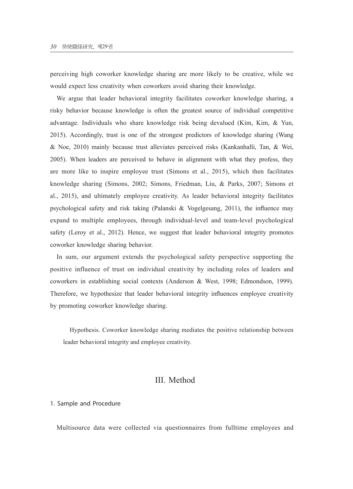perceiving high coworker knowledge sharing are more likely to be creative, while we would expect less creativity when coworkers avoid sharing their knowledge.

We argue that leader behavioral integrity facilitates coworker knowledge sharing, a risky behavior because knowledge is often the greatest source of individual competitive advantage. Individuals who share knowledge risk being devalued (Kim, Kim, & Yun, 2015). Accordingly, trust is one of the strongest predictors of knowledge sharing (Wang & Noe, 2010) mainly because trust alleviates perceived risks (Kankanhalli, Tan, & Wei, 2005). When leaders are perceived to behave in alignment with what they profess, they are more like to inspire employee trust (Simons et al., 2015), which then facilitates knowledge sharing (Simons, 2002; Simons, Friedman, Liu, & Parks, 2007; Simons et al., 2015), and ultimately employee creativity. As leader behavioral integrity facilitates psychological safety and risk taking (Palanski & Vogelgesang, 2011), the influence may expand to multiple employees, through individual-level and team-level psychological safety (Leroy et al., 2012). Hence, we suggest that leader behavioral integrity promotes coworker knowledge sharing behavior.

In sum, our argument extends the psychological safety perspective supporting the positive influence of trust on individual creativity by including roles of leaders and coworkers in establishing social contexts (Anderson & West, 1998; Edmondson, 1999). Therefore, we hypothesize that leader behavioral integrity influences employee creativity by promoting coworker knowledge sharing.

Hypothesis. Coworker knowledge sharing mediates the positive relationship between leader behavioral integrity and employee creativity.

### III. Method

#### 1. Sample and Procedure

Multisource data were collected via questionnaires from fulltime employees and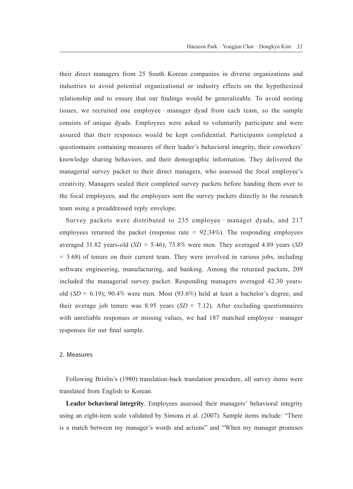their direct managers from 25 South Korean companies in diverse organizations and industries to avoid potential organizational or industry effects on the hypothesized relationship and to ensure that our findings would be generalizable. To avoid nesting issues, we recruited one employee–manager dyad from each team, so the sample consists of unique dyads. Employees were asked to voluntarily participate and were assured that their responses would be kept confidential. Participants completed a questionnaire containing measures of their leader's behavioral integrity, their coworkers' knowledge sharing behaviors, and their demographic information. They delivered the managerial survey packet to their direct managers, who assessed the focal employee's creativity. Managers sealed their completed survey packets before handing them over to the focal employees, and the employees sent the survey packets directly to the research team using a preaddressed reply envelope.

Survey packets were distributed to 235 employee–manager dyads, and 217 employees returned the packet (response rate  $= 92.34\%$ ). The responding employees averaged 31.82 years-old (*SD* = 5.46); 73.8% were men. They averaged 4.89 years (*SD*  = 3.68) of tenure on their current team. They were involved in various jobs, including software engineering, manufacturing, and banking. Among the returned packets, 209 included the managerial survey packet. Responding managers averaged 42.30 yearsold  $(SD = 6.19)$ ; 90.4% were men. Most (93.6%) held at least a bachelor's degree, and their average job tenure was 8.95 years  $(SD = 7.12)$ . After excluding questionnaires with unreliable responses or missing values, we had 187 matched employee – manager responses for our final sample.

#### 2. Measures

Following Brislin's (1980) translation-back translation procedure, all survey items were translated from English to Korean.

**Leader behavioral integrity**. Employees assessed their managers' behavioral integrity using an eight-item scale validated by Simons et al. (2007). Sample items include: "There is a match between my manager's words and actions" and "When my manager promises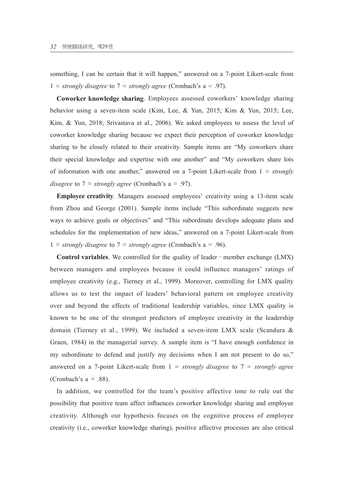something, I can be certain that it will happen," answered on a 7-point Likert-scale from 1 = *strongly disagree* to  $7 =$  *strongly agree* (Cronbach's a = .97).

**Coworker knowledge sharing**. Employees assessed coworkers' knowledge sharing behavior using a seven-item scale (Kim, Lee, & Yun, 2015; Kim & Yun, 2015; Lee, Kim, & Yun, 2018; Srivastava et al., 2006). We asked employees to assess the level of coworker knowledge sharing because we expect their perception of coworker knowledge sharing to be closely related to their creativity. Sample items are "My coworkers share their special knowledge and expertise with one another" and "My coworkers share lots of information with one another," answered on a 7-point Likert-scale from 1 = *strongly disagree* to 7 = *strongly agree* (Cronbach's a = .97).

**Employee creativity**. Managers assessed employees' creativity using a 13-item scale from Zhou and George (2001). Sample items include "This subordinate suggests new ways to achieve goals or objectives" and "This subordinate develops adequate plans and schedules for the implementation of new ideas," answered on a 7-point Likert-scale from 1 = *strongly disagree* to  $7 =$  *strongly agree* (Cronbach's a = .96).

**Control variables**. We controlled for the quality of leader–member exchange (LMX) between managers and employees because it could influence managers' ratings of employee creativity (e.g., Tierney et al., 1999). Moreover, controlling for LMX quality allows us to test the impact of leaders' behavioral pattern on employee creativity over and beyond the effects of traditional leadership variables, since LMX quality is known to be one of the strongest predictors of employee creativity in the leadership domain (Tierney et al., 1999). We included a seven-item LMX scale (Scandura  $\&$ Graen, 1984) in the managerial survey. A sample item is "I have enough confidence in my subordinate to defend and justify my decisions when I am not present to do so," answered on a 7-point Likert-scale from 1 = *strongly disagree* to 7 = *strongly agree* (Cronbach's  $a = .88$ ).

In addition, we controlled for the team's positive affective tone to rule out the possibility that positive team affect influences coworker knowledge sharing and employee creativity. Although our hypothesis focuses on the cognitive process of employee creativity (i.e., coworker knowledge sharing), positive affective processes are also critical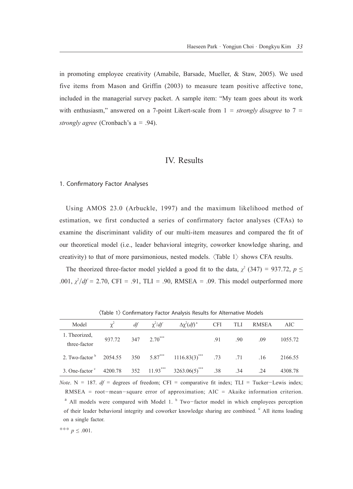in promoting employee creativity (Amabile, Barsade, Mueller, & Staw, 2005). We used five items from Mason and Griffin (2003) to measure team positive affective tone, included in the managerial survey packet. A sample item: "My team goes about its work with enthusiasm," answered on a 7-point Likert-scale from 1 = *strongly disagree* to 7 = *strongly agree* (Cronbach's a = .94).

#### IV. Results

#### 1. Confirmatory Factor Analyses

Using AMOS 23.0 (Arbuckle, 1997) and the maximum likelihood method of estimation, we first conducted a series of confirmatory factor analyses (CFAs) to examine the discriminant validity of our multi-item measures and compared the fit of our theoretical model (i.e., leader behavioral integrity, coworker knowledge sharing, and creativity) to that of more parsimonious, nested models.  $\langle \text{Table 1} \rangle$  shows CFA results.

The theorized three-factor model yielded a good fit to the data,  $\chi^2$  (347) = 937.72,  $p \le$ .001,  $\chi^2/df = 2.70$ , CFI = .91, TLI = .90, RMSEA = .09. This model outperformed more

| Model                                                                                              |                    |  | $\chi^2$ df $\chi^2/df$ $\Delta \chi^2 (df)^2$ CFI TLI RMSEA |     |               | AIC     |
|----------------------------------------------------------------------------------------------------|--------------------|--|--------------------------------------------------------------|-----|---------------|---------|
| 1. Theorized,<br>three-factor                                                                      | 937.72 347 2.70*** |  |                                                              | .91 | $.90 \t 0.09$ | 1055.72 |
| 2. Two-factor $^{b}$ 2054.55 350 5.87 <sup>***</sup> 1116.83(3) <sup>***</sup> .73 .71 .16 2166.55 |                    |  |                                                              |     |               |         |
| 3. One-factor <sup>c</sup> 4200.78 352 11.93 <sup>***</sup> 3263.06(5) <sup>***</sup> .38 .34 .24  |                    |  |                                                              |     |               | 4308.78 |

<Table 1> Confirmatory Factor Analysis Results for Alternative Models

*Note*.  $N = 187$ . *df* = degrees of freedom; CFI = comparative fit index; TLI = Tucker-Lewis index; RMSEA = root-mean-square error of approximation; AIC = Akaike information criterion.  $a$  All models were compared with Model 1.  $b$  Two-factor model in which employees perception of their leader behavioral integrity and coworker knowledge sharing are combined. <sup>c</sup> All items loading on a single factor.

$$
*** p \le .001.
$$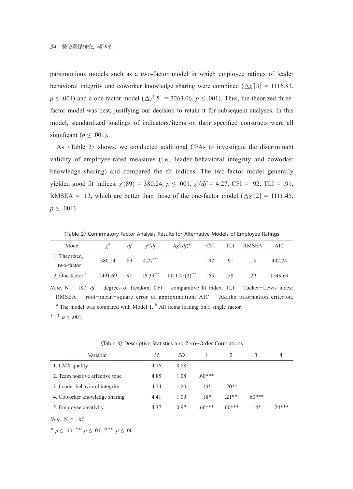parsimonious models such as a two-factor model in which employee ratings of leader behavioral integrity and coworker knowledge sharing were combined  $(\Delta \chi^2[3] = 1116.83)$ ,  $p \leq .001$ ) and a one-factor model ( $\Delta \chi^2$ [5] = 3263.06,  $p \leq .001$ ). Thus, the theorized threefactor model was best, justifying our decision to retain it for subsequent analyses. In this model, standardized loadings of indicators/items on their specified constructs were all significant ( $p \leq .001$ ).

As  $\langle$ Table 2 $\rangle$  shows, we conducted additional CFAs to investigate the discriminant validity of employee-rated measures (i.e., leader behavioral integrity and coworker knowledge sharing) and compared the fit indices. The two-factor model generally yielded good fit indices,  $\chi^2(89) = 380.24$ ,  $p \le 0.001$ ,  $\chi^2/df = 4.27$ , CFI = .92, TLI = .91, RMSEA = .13, which are better than those of the one-factor model  $(\Delta \chi^2[2] = 1111.45,$  $p \leq .001$ ).

<Table 2> Confirmatory Factor Analysis Results for Alternative Models of Employee Ratings

| Model           |        | df | $\chi^2/df$ | $\Delta \chi^2(df)^a$                   | <b>CFI</b> |     | TLI RMSEA | AIC     |
|-----------------|--------|----|-------------|-----------------------------------------|------------|-----|-----------|---------|
| 1. Theorized,   | 380.24 | 89 | $4.27***$   |                                         | .92        | 91  | -13       | 442.24  |
| two-factor      |        |    |             |                                         |            |     |           |         |
| 2. One-factor b |        |    |             | $1491.69$ 91 $16.39***$ $1111.45(2)***$ | .63        | .58 | .29       | 1549.69 |

*Note*. N = 187.  $df =$  degrees of freedom; CFI = comparative fit index; TLI = Tucker-Lewis index; RMSEA = root-mean-square error of approximation; AIC = Akaike information criterion.  $a$ <sup>a</sup> The model was compared with Model 1.  $b$  All items loading on a single factor. \*\*\* *p* ≤ .001.

| Variable                        | M    | SD   |          |          |          | 4        |
|---------------------------------|------|------|----------|----------|----------|----------|
| 1. LMX quality                  | 4.76 | 0.88 |          |          |          |          |
| 2. Team positive affective tone | 4.85 | 1.08 | $.60***$ |          |          |          |
| 3. Leader behavioral integrity  | 4.74 | 1.20 | $.15*$   | $20**$   |          |          |
| 4. Coworker knowledge sharing   | 4.41 | 1.09 | $.18*$   | $21**$   | $.60***$ |          |
| 5. Employee creativity          | 4.37 | 0.97 | $.66***$ | $.60***$ | $14*$    | $.24***$ |

<Table 3> Descriptive Statistics and Zero-Order Correlations

*Note*. N = 187.

\*  $p \leq .05$ . \*\*  $p \leq .01$ . \*\*\*  $p \leq .001$ .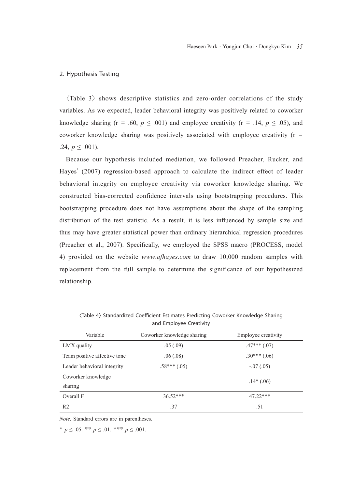#### 2. Hypothesis Testing

 $\langle$ Table 3 $\rangle$  shows descriptive statistics and zero-order correlations of the study variables. As we expected, leader behavioral integrity was positively related to coworker knowledge sharing (r = .60,  $p \leq .001$ ) and employee creativity (r = .14,  $p \leq .05$ ), and coworker knowledge sharing was positively associated with employee creativity ( $r =$ .24,  $p \leq .001$ ).

Because our hypothesis included mediation, we followed Preacher, Rucker, and Hayes' (2007) regression-based approach to calculate the indirect effect of leader behavioral integrity on employee creativity via coworker knowledge sharing. We constructed bias-corrected confidence intervals using bootstrapping procedures. This bootstrapping procedure does not have assumptions about the shape of the sampling distribution of the test statistic. As a result, it is less influenced by sample size and thus may have greater statistical power than ordinary hierarchical regression procedures (Preacher et al., 2007). Specifically, we employed the SPSS macro (PROCESS, model 4) provided on the website *www*.*afhayes*.*com* to draw 10,000 random samples with replacement from the full sample to determine the significance of our hypothesized relationship.

| and Employee Creativity      |                            |                     |  |  |  |  |
|------------------------------|----------------------------|---------------------|--|--|--|--|
| Variable                     | Coworker knowledge sharing | Employee creativity |  |  |  |  |
| LMX quality                  | .05(.09)                   | $.47***$ (.07)      |  |  |  |  |
| Team positive affective tone | .06(.08)                   | $.30***(.06)$       |  |  |  |  |
| Leader behavioral integrity  | $.58***(.05)$              | $-.07(.05)$         |  |  |  |  |
| Coworker knowledge           |                            | $.14*(.06)$         |  |  |  |  |
| sharing                      |                            |                     |  |  |  |  |
| Overall F                    | $36.52***$                 | 47.22***            |  |  |  |  |
| R <sub>2</sub>               | .37                        | .51                 |  |  |  |  |

<Table 4> Standardized Coefficient Estimates Predicting Coworker Knowledge Sharing and Employee Creativity

*Note*. Standard errors are in parentheses.

\*  $p \leq .05$ . \*\*  $p \leq .01$ . \*\*\*  $p \leq .001$ .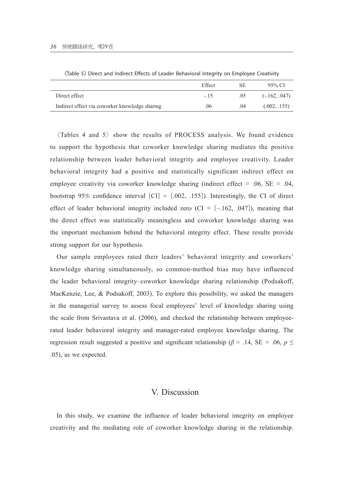|                                                | Effect | SE  | 95% CI          |
|------------------------------------------------|--------|-----|-----------------|
| Direct effect                                  | $-15$  | .05 | $(-.162, .047)$ |
| Indirect effect via coworker knowledge sharing | .06    | .04 | (.002, .155)    |

<Table 5> Direct and Indirect Effects of Leader Behavioral Integrity on Employee Creativity

 $\langle$ Tables 4 and 5 $\rangle$  show the results of PROCESS analysis. We found evidence to support the hypothesis that coworker knowledge sharing mediates the positive relationship between leader behavioral integrity and employee creativity. Leader behavioral integrity had a positive and statistically significant indirect effect on employee creativity via coworker knowledge sharing (indirect effect = .06,  $SE = .04$ , bootstrap 95% confidence interval  $\text{[CI]} = [.002, .155]$ . Interestingly, the CI of direct effect of leader behavioral integrity included zero (CI =  $[-.162, .047]$ ), meaning that the direct effect was statistically meaningless and coworker knowledge sharing was the important mechanism behind the behavioral integrity effect. These results provide strong support for our hypothesis.

Our sample employees rated their leaders' behavioral integrity and coworkers' knowledge sharing simultaneously, so common-method bias may have influenced the leader behavioral integrity–coworker knowledge sharing relationship (Podsakoff, MacKenzie, Lee, & Podsakoff, 2003). To explore this possibility, we asked the managers in the managerial survey to assess focal employees' level of knowledge sharing using the scale from Srivastava et al. (2006), and checked the relationship between employeerated leader behavioral integrity and manager-rated employee knowledge sharing. The regression result suggested a positive and significant relationship ( $\beta$  = .14, SE = .06,  $p \le$ .05), as we expected.

## V. Discussion

In this study, we examine the influence of leader behavioral integrity on employee creativity and the mediating role of coworker knowledge sharing in the relationship.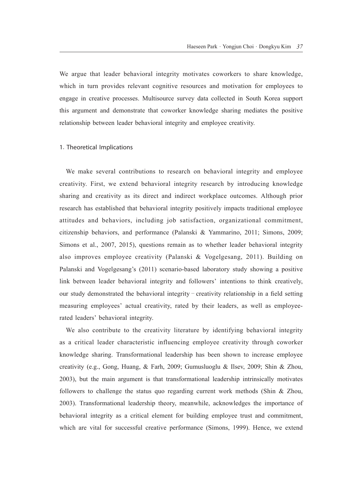We argue that leader behavioral integrity motivates coworkers to share knowledge, which in turn provides relevant cognitive resources and motivation for employees to engage in creative processes. Multisource survey data collected in South Korea support this argument and demonstrate that coworker knowledge sharing mediates the positive relationship between leader behavioral integrity and employee creativity.

#### 1. Theoretical Implications

We make several contributions to research on behavioral integrity and employee creativity. First, we extend behavioral integrity research by introducing knowledge sharing and creativity as its direct and indirect workplace outcomes. Although prior research has established that behavioral integrity positively impacts traditional employee attitudes and behaviors, including job satisfaction, organizational commitment, citizenship behaviors, and performance (Palanski & Yammarino, 2011; Simons, 2009; Simons et al., 2007, 2015), questions remain as to whether leader behavioral integrity also improves employee creativity (Palanski & Vogelgesang, 2011). Building on Palanski and Vogelgesang's (2011) scenario-based laboratory study showing a positive link between leader behavioral integrity and followers' intentions to think creatively, our study demonstrated the behavioral integrity–creativity relationship in a field setting measuring employees' actual creativity, rated by their leaders, as well as employeerated leaders' behavioral integrity.

We also contribute to the creativity literature by identifying behavioral integrity as a critical leader characteristic influencing employee creativity through coworker knowledge sharing. Transformational leadership has been shown to increase employee creativity (e.g., Gong, Huang, & Farh, 2009; Gumusluoglu & Ilsev, 2009; Shin & Zhou, 2003), but the main argument is that transformational leadership intrinsically motivates followers to challenge the status quo regarding current work methods (Shin & Zhou, 2003). Transformational leadership theory, meanwhile, acknowledges the importance of behavioral integrity as a critical element for building employee trust and commitment, which are vital for successful creative performance (Simons, 1999). Hence, we extend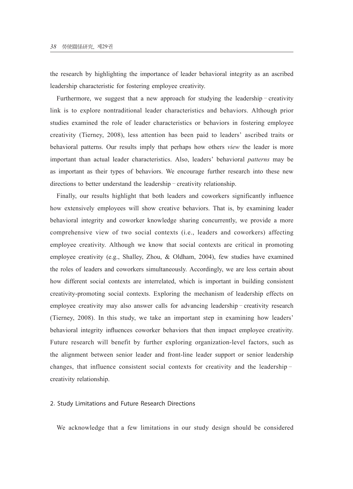the research by highlighting the importance of leader behavioral integrity as an ascribed leadership characteristic for fostering employee creativity.

Furthermore, we suggest that a new approach for studying the leadership–creativity link is to explore nontraditional leader characteristics and behaviors. Although prior studies examined the role of leader characteristics or behaviors in fostering employee creativity (Tierney, 2008), less attention has been paid to leaders' ascribed traits or behavioral patterns. Our results imply that perhaps how others *view* the leader is more important than actual leader characteristics. Also, leaders' behavioral *patterns* may be as important as their types of behaviors. We encourage further research into these new directions to better understand the leadership–creativity relationship.

Finally, our results highlight that both leaders and coworkers significantly influence how extensively employees will show creative behaviors. That is, by examining leader behavioral integrity and coworker knowledge sharing concurrently, we provide a more comprehensive view of two social contexts (i.e., leaders and coworkers) affecting employee creativity. Although we know that social contexts are critical in promoting employee creativity (e.g., Shalley, Zhou, & Oldham, 2004), few studies have examined the roles of leaders and coworkers simultaneously. Accordingly, we are less certain about how different social contexts are interrelated, which is important in building consistent creativity-promoting social contexts. Exploring the mechanism of leadership effects on employee creativity may also answer calls for advancing leadership–creativity research (Tierney, 2008). In this study, we take an important step in examining how leaders' behavioral integrity influences coworker behaviors that then impact employee creativity. Future research will benefit by further exploring organization-level factors, such as the alignment between senior leader and front-line leader support or senior leadership changes, that influence consistent social contexts for creativity and the leadership– creativity relationship.

#### 2. Study Limitations and Future Research Directions

We acknowledge that a few limitations in our study design should be considered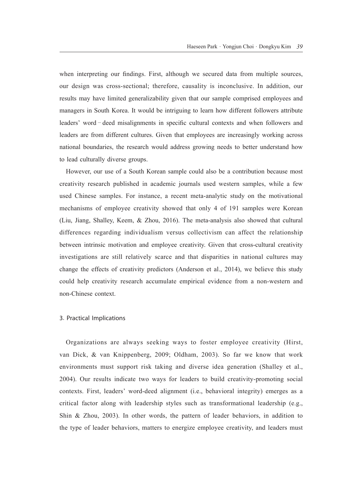when interpreting our findings. First, although we secured data from multiple sources, our design was cross-sectional; therefore, causality is inconclusive. In addition, our results may have limited generalizability given that our sample comprised employees and managers in South Korea. It would be intriguing to learn how different followers attribute leaders' word–deed misalignments in specific cultural contexts and when followers and leaders are from different cultures. Given that employees are increasingly working across national boundaries, the research would address growing needs to better understand how to lead culturally diverse groups.

However, our use of a South Korean sample could also be a contribution because most creativity research published in academic journals used western samples, while a few used Chinese samples. For instance, a recent meta-analytic study on the motivational mechanisms of employee creativity showed that only 4 of 191 samples were Korean (Liu, Jiang, Shalley, Keem, & Zhou, 2016). The meta-analysis also showed that cultural differences regarding individualism versus collectivism can affect the relationship between intrinsic motivation and employee creativity. Given that cross-cultural creativity investigations are still relatively scarce and that disparities in national cultures may change the effects of creativity predictors (Anderson et al., 2014), we believe this study could help creativity research accumulate empirical evidence from a non-western and non-Chinese context.

#### 3. Practical Implications

Organizations are always seeking ways to foster employee creativity (Hirst, van Dick, & van Knippenberg, 2009; Oldham, 2003). So far we know that work environments must support risk taking and diverse idea generation (Shalley et al., 2004). Our results indicate two ways for leaders to build creativity-promoting social contexts. First, leaders' word-deed alignment (i.e., behavioral integrity) emerges as a critical factor along with leadership styles such as transformational leadership (e.g., Shin & Zhou, 2003). In other words, the pattern of leader behaviors, in addition to the type of leader behaviors, matters to energize employee creativity, and leaders must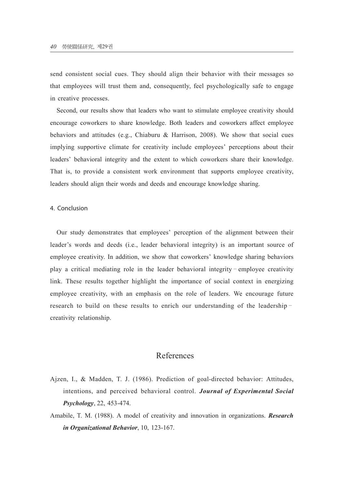send consistent social cues. They should align their behavior with their messages so that employees will trust them and, consequently, feel psychologically safe to engage in creative processes.

Second, our results show that leaders who want to stimulate employee creativity should encourage coworkers to share knowledge. Both leaders and coworkers affect employee behaviors and attitudes (e.g., Chiaburu & Harrison, 2008). We show that social cues implying supportive climate for creativity include employees' perceptions about their leaders' behavioral integrity and the extent to which coworkers share their knowledge. That is, to provide a consistent work environment that supports employee creativity, leaders should align their words and deeds and encourage knowledge sharing.

#### 4. Conclusion

Our study demonstrates that employees' perception of the alignment between their leader's words and deeds (i.e., leader behavioral integrity) is an important source of employee creativity. In addition, we show that coworkers' knowledge sharing behaviors play a critical mediating role in the leader behavioral integrity–employee creativity link. These results together highlight the importance of social context in energizing employee creativity, with an emphasis on the role of leaders. We encourage future research to build on these results to enrich our understanding of the leadership– creativity relationship.

## References

- Ajzen, I., & Madden, T. J. (1986). Prediction of goal-directed behavior: Attitudes, intentions, and perceived behavioral control. *Journal of Experimental Social Psychology*, 22, 453-474.
- Amabile, T. M. (1988). A model of creativity and innovation in organizations. *Research in Organizational Behavior*, 10, 123-167.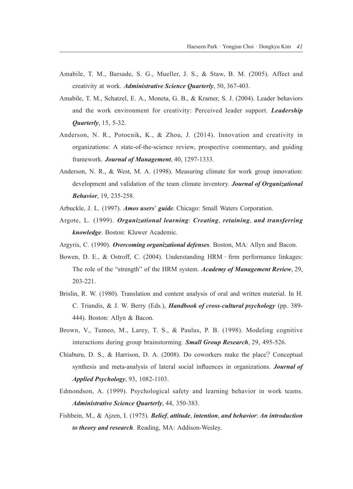- Amabile, T. M., Barsade, S. G., Mueller, J. S., & Staw, B. M. (2005). Affect and creativity at work. *Administrative Science Quarterly*, 50, 367-403.
- Amabile, T. M., Schatzel, E. A., Moneta, G. B., & Kramer, S. J. (2004). Leader behaviors and the work environment for creativity: Perceived leader support. *Leadership Quarterly*, 15, 5-32.
- Anderson, N. R., Potocnik, K., & Zhou, J. (2014). Innovation and creativity in organizations: A state-of-the-science review, prospective commentary, and guiding framework. *Journal of Management*, 40, 1297-1333.
- Anderson, N. R., & West, M. A. (1998). Measuring climate for work group innovation: development and validation of the team climate inventory. *Journal of Organizational Behavior*, 19, 235-258.
- Arbuckle, J. L. (1997). *Amos users*' *guide*. Chicago: Small Waters Corporation.
- Argote, L. (1999). *Organizational learning*: *Creating*, *retaining*, *and transferring knowledge*. Boston: Kluwer Academic.
- Argyris, C. (1990). *Overcoming organizational defenses*. Boston, MA: Allyn and Bacon.
- Bowen, D. E., & Ostroff, C. (2004). Understanding HRM–firm performance linkages: The role of the "strength" of the HRM system. *Academy of Management Review*, 29, 203-221.
- Brislin, R. W. (1980). Translation and content analysis of oral and written material. In H. C. Triandis, & J. W. Berry (Eds.), *Handbook of cross*-*cultural psychology* (pp. 389- 444). Boston: Allyn & Bacon.
- Brown, V., Tumeo, M., Larey, T. S., & Paulus, P. B. (1998). Modeling cognitive interactions during group brainstorming. *Small Group Research*, 29, 495-526.
- Chiaburu, D. S., & Harrison, D. A. (2008). Do coworkers make the place? Conceptual synthesis and meta-analysis of lateral social influences in organizations. *Journal of Applied Psychology*, 93, 1082-1103.
- Edmondson, A. (1999). Psychological safety and learning behavior in work teams. *Administrative Science Quarterly*, 44, 350-383.
- Fishbein, M., & Ajzen, I. (1975). *Belief*, *attitude*, *intention*, *and behavior*: *An introduction to theory and research*. Reading, MA: Addison-Wesley.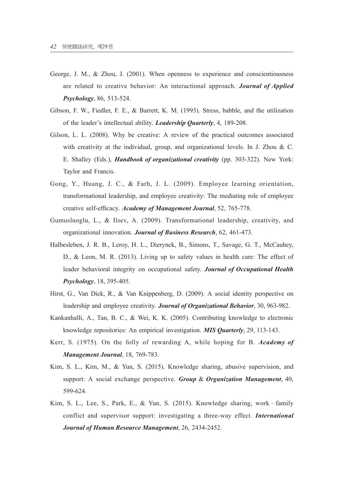- George, J. M., & Zhou, J. (2001). When openness to experience and conscientiousness are related to creative behavior: An interactional approach. *Journal of Applied Psychology*, 86, 513-524.
- Gibson, F. W., Fiedler, F. E., & Barrett, K. M. (1993). Stress, babble, and the utilization of the leader's intellectual ability. *Leadership Quarterly*, 4, 189-208.
- Gilson, L. L. (2008). Why be creative: A review of the practical outcomes associated with creativity at the individual, group, and organizational levels. In J. Zhou & C. E. Shalley (Eds.), *Handbook of organizational creativity* (pp. 303-322). New York: Taylor and Francis.
- Gong, Y., Huang, J. C., & Farh, J. L. (2009). Employee learning orientation, transformational leadership, and employee creativity: The mediating role of employee creative self-efficacy. *Academy of Management Journal*, 52, 765-778.
- Gumusluoglu, L., & Ilsev, A. (2009). Transformational leadership, creativity, and organizational innovation. *Journal of Business Research*, 62, 461-473.
- Halbesleben, J. R. B., Leroy, H. L., Dierynck, B., Simons, T., Savage, G. T., McCauhey, D., & Leon, M. R. (2013). Living up to safety values in health care: The effect of leader behavioral integrity on occupational safety. *Journal of Occupational Health Psychology*, 18, 395-405.
- Hirst, G., Van Dick, R., & Van Knippenberg, D. (2009). A social identity perspective on leadership and employee creativity. *Journal of Organizational Behavior*, 30, 963-982.
- Kankanhalli, A., Tan, B. C., & Wei, K. K. (2005). Contributing knowledge to electronic knowledge repositories: An empirical investigation. *MIS Quarterly*, 29, 113-143.
- Kerr, S. (1975). On the folly of rewarding A, while hoping for B. *Academy of Management Journal*, 18, 769-783.
- Kim, S. L., Kim, M., & Yun, S. (2015). Knowledge sharing, abusive supervision, and support: A social exchange perspective. *Group* & *Organization Management*, 40, 599-624.
- Kim, S. L., Lee, S., Park, E., & Yun, S. (2015). Knowledge sharing, work–family conflict and supervisor support: investigating a three-way effect. *International Journal of Human Resource Management*, 26, 2434-2452.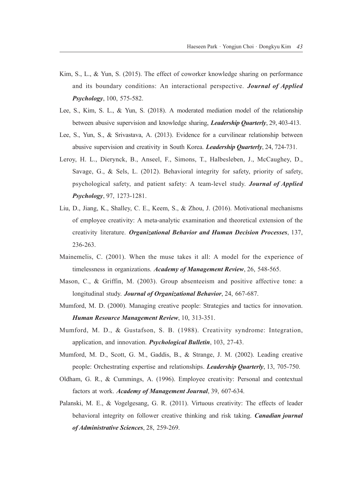- Kim, S., L., & Yun, S. (2015). The effect of coworker knowledge sharing on performance and its boundary conditions: An interactional perspective. *Journal of Applied Psychology*, 100, 575-582.
- Lee, S., Kim, S. L., & Yun, S. (2018). A moderated mediation model of the relationship between abusive supervision and knowledge sharing, *Leadership Quarterly*, 29, 403-413.
- Lee, S., Yun, S., & Srivastava, A. (2013). Evidence for a curvilinear relationship between abusive supervision and creativity in South Korea. *Leadership Quarterly*, 24, 724-731.
- Leroy, H. L., Dierynck, B., Anseel, F., Simons, T., Halbesleben, J., McCaughey, D., Savage, G., & Sels, L. (2012). Behavioral integrity for safety, priority of safety, psychological safety, and patient safety: A team-level study. *Journal of Applied Psychology*, 97, 1273-1281.
- Liu, D., Jiang, K., Shalley, C. E., Keem, S., & Zhou, J. (2016). Motivational mechanisms of employee creativity: A meta-analytic examination and theoretical extension of the creativity literature. *Organizational Behavior and Human Decision Processes*, 137, 236-263.
- Mainemelis, C. (2001). When the muse takes it all: A model for the experience of timelessness in organizations. *Academy of Management Review*, 26, 548-565.
- Mason, C., & Griffin, M. (2003). Group absenteeism and positive affective tone: a longitudinal study. *Journal of Organizational Behavior*, 24, 667-687.
- Mumford, M. D. (2000). Managing creative people: Strategies and tactics for innovation. *Human Resource Management Review*, 10, 313-351.
- Mumford, M. D., & Gustafson, S. B. (1988). Creativity syndrome: Integration, application, and innovation. *Psychological Bulletin*, 103, 27-43.
- Mumford, M. D., Scott, G. M., Gaddis, B., & Strange, J. M. (2002). Leading creative people: Orchestrating expertise and relationships. *Leadership Quarterly*, 13, 705-750.
- Oldham, G. R., & Cummings, A. (1996). Employee creativity: Personal and contextual factors at work. *Academy of Management Journal*, 39, 607-634.
- Palanski, M. E., & Vogelgesang, G. R. (2011). Virtuous creativity: The effects of leader behavioral integrity on follower creative thinking and risk taking. *Canadian journal of Administrative Sciences*, 28, 259-269.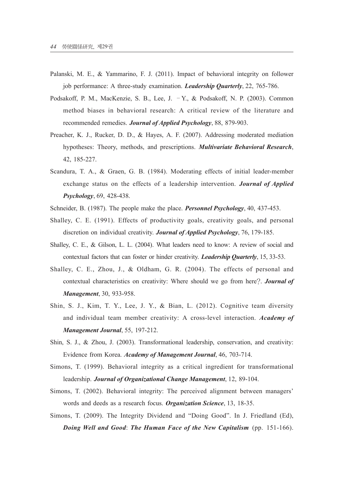- Palanski, M. E., & Yammarino, F. J. (2011). Impact of behavioral integrity on follower job performance: A three-study examination. *Leadership Quarterly*, 22, 765-786.
- Podsakoff, P. M., MacKenzie, S. B., Lee, J. –Y., & Podsakoff, N. P. (2003). Common method biases in behavioral research: A critical review of the literature and recommended remedies. *Journal of Applied Psychology*, 88, 879-903.
- Preacher, K. J., Rucker, D. D., & Hayes, A. F. (2007). Addressing moderated mediation hypotheses: Theory, methods, and prescriptions. *Multivariate Behavioral Research*, 42, 185-227.
- Scandura, T. A., & Graen, G. B. (1984). Moderating effects of initial leader-member exchange status on the effects of a leadership intervention. *Journal of Applied Psychology*, 69, 428-438.
- Schneider, B. (1987). The people make the place. *Personnel Psychology*, 40, 437-453.
- Shalley, C. E. (1991). Effects of productivity goals, creativity goals, and personal discretion on individual creativity. *Journal of Applied Psychology*, 76, 179-185.
- Shalley, C. E., & Gilson, L. L. (2004). What leaders need to know: A review of social and contextual factors that can foster or hinder creativity. *Leadership Quarterly*, 15, 33-53.
- Shalley, C. E., Zhou, J., & Oldham, G. R. (2004). The effects of personal and contextual characteristics on creativity: Where should we go from here?. *Journal of Management*, 30, 933-958.
- Shin, S. J., Kim, T. Y., Lee, J. Y., & Bian, L. (2012). Cognitive team diversity and individual team member creativity: A cross-level interaction. *Academy of Management Journal*, 55, 197-212.
- Shin, S. J., & Zhou, J. (2003). Transformational leadership, conservation, and creativity: Evidence from Korea. *Academy of Management Journal*, 46, 703-714.
- Simons, T. (1999). Behavioral integrity as a critical ingredient for transformational leadership. *Journal of Organizational Change Management*, 12, 89-104.
- Simons, T. (2002). Behavioral integrity: The perceived alignment between managers' words and deeds as a research focus. *Organization Science*, 13, 18-35.
- Simons, T. (2009). The Integrity Dividend and "Doing Good". In J. Friedland (Ed), *Doing Well and Good*: *The Human Face of the New Capitalism* (pp. 151-166).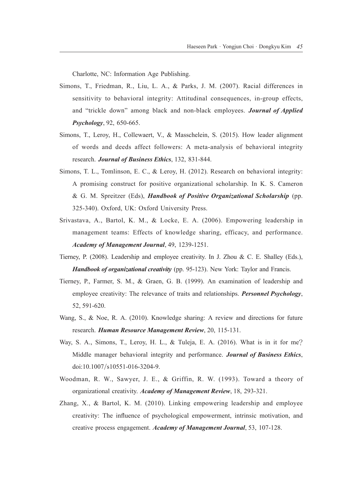Charlotte, NC: Information Age Publishing.

- Simons, T., Friedman, R., Liu, L. A., & Parks, J. M. (2007). Racial differences in sensitivity to behavioral integrity: Attitudinal consequences, in-group effects, and "trickle down" among black and non-black employees. *Journal of Applied Psychology*, 92, 650-665.
- Simons, T., Leroy, H., Collewaert, V., & Masschelein, S. (2015). How leader alignment of words and deeds affect followers: A meta-analysis of behavioral integrity research. *Journal of Business Ethics*, 132, 831-844.
- Simons, T. L., Tomlinson, E. C., & Leroy, H. (2012). Research on behavioral integrity: A promising construct for positive organizational scholarship. In K. S. Cameron & G. M. Spreitzer (Eds), *Handbook of Positive Organizational Scholarship* (pp. 325-340). Oxford, UK: Oxford University Press.
- Srivastava, A., Bartol, K. M., & Locke, E. A. (2006). Empowering leadership in management teams: Effects of knowledge sharing, efficacy, and performance. *Academy of Management Journal*, 49, 1239-1251.
- Tierney, P. (2008). Leadership and employee creativity. In J. Zhou & C. E. Shalley (Eds.), *Handbook of organizational creativity* (pp. 95-123). New York: Taylor and Francis.
- Tierney, P., Farmer, S. M., & Graen, G. B. (1999). An examination of leadership and employee creativity: The relevance of traits and relationships. *Personnel Psychology*, 52, 591-620.
- Wang, S., & Noe, R. A. (2010). Knowledge sharing: A review and directions for future research. *Human Resource Management Review*, 20, 115-131.
- Way, S. A., Simons, T., Leroy, H. L., & Tuleja, E. A. (2016). What is in it for me? Middle manager behavioral integrity and performance. *Journal of Business Ethics*, doi:10.1007/s10551-016-3204-9.
- Woodman, R. W., Sawyer, J. E., & Griffin, R. W. (1993). Toward a theory of organizational creativity. *Academy of Management Review*, 18, 293-321.
- Zhang, X., & Bartol, K. M. (2010). Linking empowering leadership and employee creativity: The influence of psychological empowerment, intrinsic motivation, and creative process engagement. *Academy of Management Journal*, 53, 107-128.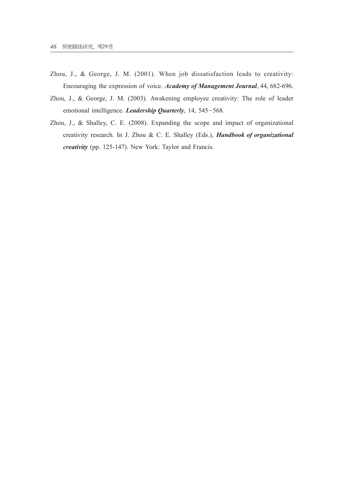- Zhou, J., & George, J. M. (2001). When job dissatisfaction leads to creativity: Encouraging the expression of voice. *Academy of Management Journal*, 44, 682-696.
- Zhou, J., & George, J. M. (2003). Awakening employee creativity: The role of leader emotional intelligence. *Leadership Quarterly*, 14, 545-568.
- Zhou, J., & Shalley, C. E. (2008). Expanding the scope and impact of organizational creativity research. In J. Zhou & C. E. Shalley (Eds.), *Handbook of organizational creativity* (pp. 125-147). New York: Taylor and Francis.